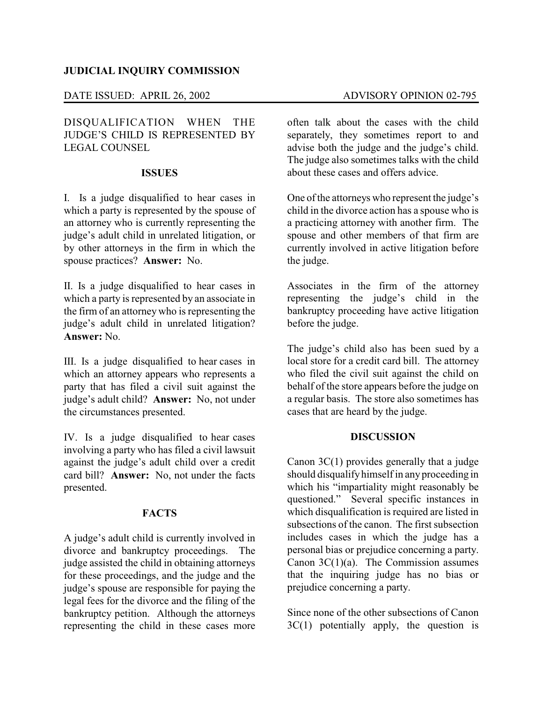## **JUDICIAL INQUIRY COMMISSION**

## DATE ISSUED: APRIL 26, 2002 ADVISORY OPINION 02-795

# DISQUALIFICATION WHEN THE JUDGE'S CHILD IS REPRESENTED BY LEGAL COUNSEL

#### **ISSUES**

I. Is a judge disqualified to hear cases in which a party is represented by the spouse of an attorney who is currently representing the judge's adult child in unrelated litigation, or by other attorneys in the firm in which the spouse practices? **Answer:** No.

II. Is a judge disqualified to hear cases in which a party is represented by an associate in the firm of an attorney who is representing the judge's adult child in unrelated litigation? **Answer:** No.

III. Is a judge disqualified to hear cases in which an attorney appears who represents a party that has filed a civil suit against the judge's adult child? **Answer:** No, not under the circumstances presented.

IV. Is a judge disqualified to hear cases involving a party who has filed a civil lawsuit against the judge's adult child over a credit card bill? **Answer:** No, not under the facts presented.

# **FACTS**

A judge's adult child is currently involved in divorce and bankruptcy proceedings. The judge assisted the child in obtaining attorneys for these proceedings, and the judge and the judge's spouse are responsible for paying the legal fees for the divorce and the filing of the bankruptcy petition. Although the attorneys representing the child in these cases more

often talk about the cases with the child separately, they sometimes report to and advise both the judge and the judge's child. The judge also sometimes talks with the child about these cases and offers advice.

One of the attorneys who represent the judge's child in the divorce action has a spouse who is a practicing attorney with another firm. The spouse and other members of that firm are currently involved in active litigation before the judge.

Associates in the firm of the attorney representing the judge's child in the bankruptcy proceeding have active litigation before the judge.

The judge's child also has been sued by a local store for a credit card bill. The attorney who filed the civil suit against the child on behalf of the store appears before the judge on a regular basis. The store also sometimes has cases that are heard by the judge.

#### **DISCUSSION**

Canon 3C(1) provides generally that a judge should disqualifyhimself in any proceeding in which his "impartiality might reasonably be questioned." Several specific instances in which disqualification is required are listed in subsections of the canon. The first subsection includes cases in which the judge has a personal bias or prejudice concerning a party. Canon  $3C(1)(a)$ . The Commission assumes that the inquiring judge has no bias or prejudice concerning a party.

Since none of the other subsections of Canon  $3C(1)$  potentially apply, the question is